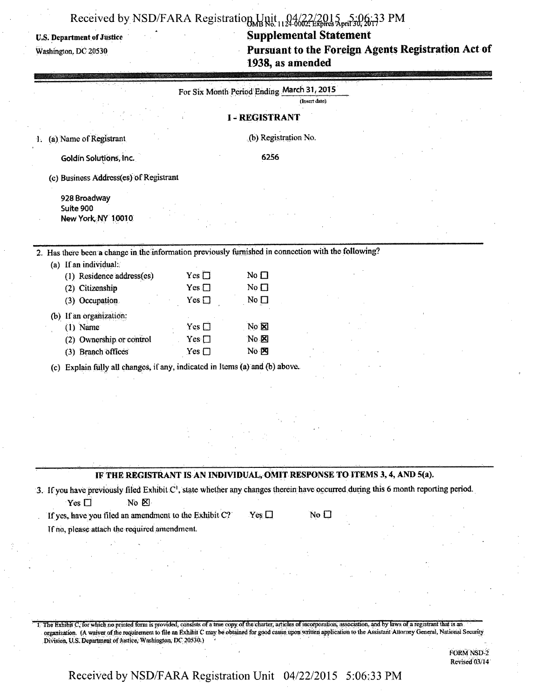# Received by NSD/FARA Registration Unit 124-002; Expires April 30, 2017 3 PM

### **U.S. Department of Justice**

Washington, DC 20530

### **Supplemental Statement**

Pursuant to the Foreign Agents Registration Act of 1938, as amended

|                                                                                                | For Six Month Period Ending March 31, 2015                                                                                                                                                                                                                                                                                                                      |  |
|------------------------------------------------------------------------------------------------|-----------------------------------------------------------------------------------------------------------------------------------------------------------------------------------------------------------------------------------------------------------------------------------------------------------------------------------------------------------------|--|
|                                                                                                | (Insert date)                                                                                                                                                                                                                                                                                                                                                   |  |
|                                                                                                | <b>I-REGISTRANT</b>                                                                                                                                                                                                                                                                                                                                             |  |
| (a) Name of Registrant<br>1.                                                                   | (b) Registration No.                                                                                                                                                                                                                                                                                                                                            |  |
| Goldin Solutions, Inc.                                                                         | 6256                                                                                                                                                                                                                                                                                                                                                            |  |
| (c) Business Address(es) of Registrant                                                         |                                                                                                                                                                                                                                                                                                                                                                 |  |
| 928 Broadway<br>Suite 900<br>New York NY 10010                                                 |                                                                                                                                                                                                                                                                                                                                                                 |  |
|                                                                                                | 2. Has there been a change in the information previously furnished in connection with the following?                                                                                                                                                                                                                                                            |  |
| (a) If an individual:<br>(1) Residence address(es)<br>(2) Citizenship                          | $Yes \Box$<br>No $\square$<br>No $\square$<br>Yes $\square$                                                                                                                                                                                                                                                                                                     |  |
| (3) Occupation                                                                                 | No $\square$<br>Yes $\square$                                                                                                                                                                                                                                                                                                                                   |  |
| (b) If an organization:<br>$(1)$ Name<br>(2) Ownership or control<br>(3) Branch offices<br>(c) | No <b>X</b><br>$Yes \Box$<br>Yes $\square$<br>$\overline{N}$ $\boxtimes$<br>Yes $\square$<br>$No \boxtimes$<br>Explain fully all changes, if any, indicated in Items (a) and (b) above.                                                                                                                                                                         |  |
|                                                                                                |                                                                                                                                                                                                                                                                                                                                                                 |  |
|                                                                                                |                                                                                                                                                                                                                                                                                                                                                                 |  |
|                                                                                                |                                                                                                                                                                                                                                                                                                                                                                 |  |
| Yes $\Box$<br>No <b>E</b><br>If yes, have you filed an amendment to the Exhibit C?             | IF THE REGISTRANT IS AN INDIVIDUAL, OMIT RESPONSE TO ITEMS 3, 4, AND 5(a).<br>3. If you have previously filed Exhibit C <sup>1</sup> , state whether any changes therein have occurred during this 6 month reporting period.<br>Yes $\Box$<br>$\overline{\mathsf{No}}$ $\Box$                                                                                   |  |
| If no, please attach the required amendment.                                                   |                                                                                                                                                                                                                                                                                                                                                                 |  |
|                                                                                                |                                                                                                                                                                                                                                                                                                                                                                 |  |
|                                                                                                |                                                                                                                                                                                                                                                                                                                                                                 |  |
| Division, U.S. Department of Justice, Washington, DC 20530.)                                   | 1. The Exhibit C, for which no printed form is provided, consists of a true copy of the charter, articles of incorporation, association, and by laws of a registrant that is an<br>organization. (A waiver of the requirement to file an Exhibit C may be obtained for good cause upon written application to the Assistant Attorney General, National Security |  |

FORM NSD-2 Revised 03/14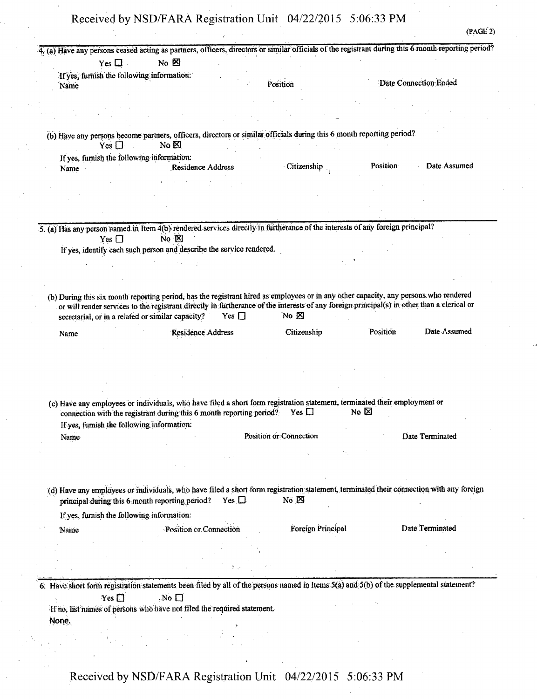|        | Yes $\Box$ .                               | No <sub>B</sub>                                                         |               |                               |                                                                                                                                                                                                                                                                                    |                                                                                                                                         |
|--------|--------------------------------------------|-------------------------------------------------------------------------|---------------|-------------------------------|------------------------------------------------------------------------------------------------------------------------------------------------------------------------------------------------------------------------------------------------------------------------------------|-----------------------------------------------------------------------------------------------------------------------------------------|
|        | If yes, furnish the following information: |                                                                         |               |                               |                                                                                                                                                                                                                                                                                    |                                                                                                                                         |
| Name   |                                            |                                                                         |               | Position                      |                                                                                                                                                                                                                                                                                    | Date Connection Ended                                                                                                                   |
|        |                                            |                                                                         |               |                               |                                                                                                                                                                                                                                                                                    |                                                                                                                                         |
|        |                                            |                                                                         |               |                               |                                                                                                                                                                                                                                                                                    |                                                                                                                                         |
|        |                                            |                                                                         |               |                               |                                                                                                                                                                                                                                                                                    |                                                                                                                                         |
|        | Yes $\Box$                                 | No <sub>B</sub>                                                         |               |                               | (b) Have any persons become partners, officers, directors or similar officials during this 6 month reporting period?                                                                                                                                                               |                                                                                                                                         |
|        | If yes, furnish the following information: |                                                                         |               |                               |                                                                                                                                                                                                                                                                                    |                                                                                                                                         |
| Name · |                                            | <b>Residence Address</b>                                                |               | Citizenship                   | Position                                                                                                                                                                                                                                                                           | Date Assumed                                                                                                                            |
|        |                                            |                                                                         |               |                               |                                                                                                                                                                                                                                                                                    |                                                                                                                                         |
|        |                                            |                                                                         |               |                               |                                                                                                                                                                                                                                                                                    |                                                                                                                                         |
|        |                                            |                                                                         |               |                               |                                                                                                                                                                                                                                                                                    |                                                                                                                                         |
|        |                                            |                                                                         |               |                               | 5. (a) Has any person named in Item 4(b) rendered services directly in furtherance of the interests of any foreign principal?                                                                                                                                                      |                                                                                                                                         |
|        | Yes $\square$                              | $No \times$                                                             |               |                               |                                                                                                                                                                                                                                                                                    |                                                                                                                                         |
|        |                                            | If yes, identify each such person and describe the service rendered.    |               |                               |                                                                                                                                                                                                                                                                                    |                                                                                                                                         |
|        |                                            |                                                                         |               |                               |                                                                                                                                                                                                                                                                                    |                                                                                                                                         |
|        |                                            |                                                                         |               |                               |                                                                                                                                                                                                                                                                                    |                                                                                                                                         |
|        |                                            |                                                                         |               |                               |                                                                                                                                                                                                                                                                                    |                                                                                                                                         |
|        |                                            |                                                                         |               |                               | (b) During this six month reporting period, has the registrant hired as employees or in any other capacity, any persons who rendered<br>or will render services to the registrant directly in furtherance of the interests of any foreign principal(s) in other than a clerical or |                                                                                                                                         |
|        |                                            | secretarial, or in a related or similar capacity?                       | $Yes \square$ | $No \times$                   |                                                                                                                                                                                                                                                                                    |                                                                                                                                         |
|        |                                            |                                                                         |               |                               |                                                                                                                                                                                                                                                                                    | Date Assumed                                                                                                                            |
| Name   |                                            | Residence Address                                                       |               | Citizenship                   | Position                                                                                                                                                                                                                                                                           |                                                                                                                                         |
|        |                                            |                                                                         |               |                               |                                                                                                                                                                                                                                                                                    |                                                                                                                                         |
|        |                                            |                                                                         |               |                               |                                                                                                                                                                                                                                                                                    |                                                                                                                                         |
|        |                                            |                                                                         |               |                               |                                                                                                                                                                                                                                                                                    |                                                                                                                                         |
|        |                                            | connection with the registrant during this 6 month reporting period?    |               | Yes $\Box$                    | (c) Have any employees or individuals, who have filed a short form registration statement, terminated their employment or<br>No $\boxtimes$                                                                                                                                        |                                                                                                                                         |
|        | If yes, furnish the following information: |                                                                         |               |                               |                                                                                                                                                                                                                                                                                    |                                                                                                                                         |
| Name   |                                            |                                                                         |               | <b>Position or Connection</b> |                                                                                                                                                                                                                                                                                    | Date Terminated                                                                                                                         |
|        |                                            |                                                                         |               |                               |                                                                                                                                                                                                                                                                                    |                                                                                                                                         |
|        |                                            |                                                                         |               |                               |                                                                                                                                                                                                                                                                                    |                                                                                                                                         |
|        |                                            |                                                                         |               |                               |                                                                                                                                                                                                                                                                                    |                                                                                                                                         |
|        |                                            |                                                                         |               |                               |                                                                                                                                                                                                                                                                                    | (d) Have any employees or individuals, who have filed a short form registration statement, terminated their connection with any foreign |
|        |                                            | principal during this 6 month reporting period?                         | $Yes \Box$    | No $\boxtimes$                |                                                                                                                                                                                                                                                                                    |                                                                                                                                         |
|        | If yes, furnish the following information: |                                                                         |               |                               |                                                                                                                                                                                                                                                                                    |                                                                                                                                         |
| Name   |                                            | Position or Connection                                                  |               | Foreign Principal             |                                                                                                                                                                                                                                                                                    | Date Terminated                                                                                                                         |
|        |                                            |                                                                         |               |                               |                                                                                                                                                                                                                                                                                    |                                                                                                                                         |
|        |                                            |                                                                         |               |                               |                                                                                                                                                                                                                                                                                    |                                                                                                                                         |
|        |                                            |                                                                         |               |                               |                                                                                                                                                                                                                                                                                    |                                                                                                                                         |
|        |                                            |                                                                         |               |                               |                                                                                                                                                                                                                                                                                    |                                                                                                                                         |
|        |                                            |                                                                         |               |                               | 6. Have short form registration statements been filed by all of the persons named in Items 5(a) and 5(b) of the supplemental statement?                                                                                                                                            |                                                                                                                                         |
|        | Yes $\square$                              | $\Box$ No                                                               |               |                               |                                                                                                                                                                                                                                                                                    |                                                                                                                                         |
| None.  |                                            | If no, list names of persons who have not filed the required statement. |               |                               |                                                                                                                                                                                                                                                                                    |                                                                                                                                         |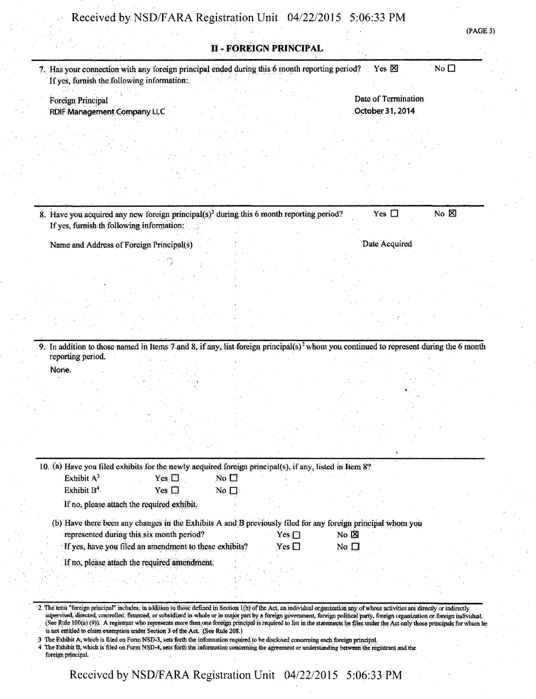|                                                                                                                                                   |                                                                                                             |                               |            |                 |                     | (PAGE 3)        |
|---------------------------------------------------------------------------------------------------------------------------------------------------|-------------------------------------------------------------------------------------------------------------|-------------------------------|------------|-----------------|---------------------|-----------------|
|                                                                                                                                                   |                                                                                                             | <b>II - FOREIGN PRINCIPAL</b> |            |                 |                     |                 |
| 7. Has your connection with any foreign principal ended during this 6 month reporting period?<br>If yes, furnish the following information:       |                                                                                                             |                               |            |                 | Yes $\boxtimes$     | No <sub>D</sub> |
|                                                                                                                                                   |                                                                                                             |                               |            |                 | Date of Termination |                 |
| Foreign Principal                                                                                                                                 |                                                                                                             |                               |            |                 | October 31, 2014    |                 |
| RDIF Management Company LLC                                                                                                                       |                                                                                                             |                               |            |                 |                     |                 |
|                                                                                                                                                   |                                                                                                             |                               |            |                 |                     |                 |
|                                                                                                                                                   |                                                                                                             |                               |            |                 |                     |                 |
|                                                                                                                                                   |                                                                                                             |                               |            |                 |                     |                 |
|                                                                                                                                                   |                                                                                                             |                               |            |                 |                     |                 |
|                                                                                                                                                   |                                                                                                             |                               |            |                 |                     |                 |
|                                                                                                                                                   |                                                                                                             |                               |            |                 |                     |                 |
|                                                                                                                                                   |                                                                                                             |                               |            |                 | Yes $\square$       |                 |
| If yes, furnish th following information:                                                                                                         | 8. Have you acquired any new foreign principal(s) <sup>2</sup> during this 6 month reporting period?        |                               |            |                 |                     | $No$ $E$        |
| Name and Address of Foreign Principal(s)                                                                                                          |                                                                                                             |                               |            |                 | Date Acquired       |                 |
|                                                                                                                                                   |                                                                                                             |                               |            |                 |                     |                 |
|                                                                                                                                                   |                                                                                                             |                               |            |                 |                     |                 |
|                                                                                                                                                   |                                                                                                             |                               |            |                 |                     |                 |
|                                                                                                                                                   |                                                                                                             |                               |            |                 |                     |                 |
|                                                                                                                                                   |                                                                                                             |                               |            |                 |                     |                 |
|                                                                                                                                                   |                                                                                                             |                               |            |                 |                     |                 |
|                                                                                                                                                   |                                                                                                             |                               |            |                 |                     |                 |
| 9. In addition to those named in Items 7 and 8, if any, list foreign principal(s) <sup>2</sup> whom you continued to represent during the 6 month |                                                                                                             |                               |            |                 |                     |                 |
| reporting period.                                                                                                                                 |                                                                                                             |                               |            |                 |                     |                 |
| None.                                                                                                                                             |                                                                                                             |                               |            |                 |                     |                 |
|                                                                                                                                                   |                                                                                                             |                               |            |                 |                     |                 |
|                                                                                                                                                   |                                                                                                             |                               |            |                 |                     |                 |
|                                                                                                                                                   |                                                                                                             |                               |            |                 |                     |                 |
|                                                                                                                                                   |                                                                                                             |                               |            |                 |                     |                 |
|                                                                                                                                                   |                                                                                                             |                               |            |                 |                     |                 |
|                                                                                                                                                   |                                                                                                             |                               |            |                 |                     |                 |
|                                                                                                                                                   |                                                                                                             |                               |            |                 |                     |                 |
|                                                                                                                                                   | 10. (a) Have you filed exhibits for the newly acquired foreign principal(s), if any, listed in Item 8?      |                               |            |                 |                     |                 |
| Exhibit A <sup>3</sup>                                                                                                                            | Yes $\Box$                                                                                                  | $No$ $\square$                |            |                 |                     |                 |
| Exhibit B <sup>4</sup>                                                                                                                            | Yes $\Box$                                                                                                  | $No \Box$                     |            |                 |                     |                 |
|                                                                                                                                                   | If no, please attach the required exhibit.                                                                  |                               |            |                 |                     |                 |
|                                                                                                                                                   | (b) Have there been any changes in the Exhibits A and B previously filed for any foreign principal whom you |                               |            |                 |                     |                 |
|                                                                                                                                                   | represented during this six month period?                                                                   |                               | $Yes \Box$ | No &            |                     |                 |
|                                                                                                                                                   | If yes, have you filed an amendment to these exhibits?                                                      |                               | $Yes \Box$ | No <sub>1</sub> |                     |                 |
|                                                                                                                                                   | If no, please attach the required amendment.                                                                |                               |            |                 |                     |                 |
|                                                                                                                                                   |                                                                                                             |                               |            |                 |                     |                 |
|                                                                                                                                                   |                                                                                                             |                               |            |                 |                     |                 |
|                                                                                                                                                   |                                                                                                             |                               |            |                 |                     |                 |
|                                                                                                                                                   |                                                                                                             |                               |            |                 |                     |                 |

(See Rule 100(a) (9)). A registrant who represents more than one foreign principal is required to list in the statements lie files under the Act only those principals for whom he is not entitled to claim exemption under Section 3 of the Act. (See Rule 208.)

3 The Exhibit A, which is filed on Form NSD-3, sets forth the information required to be disclosed concerning each foreign principal.<br>4 The Exhibit B, which is filed on Form NSD-4, sets forth the information concerning the foreign principal.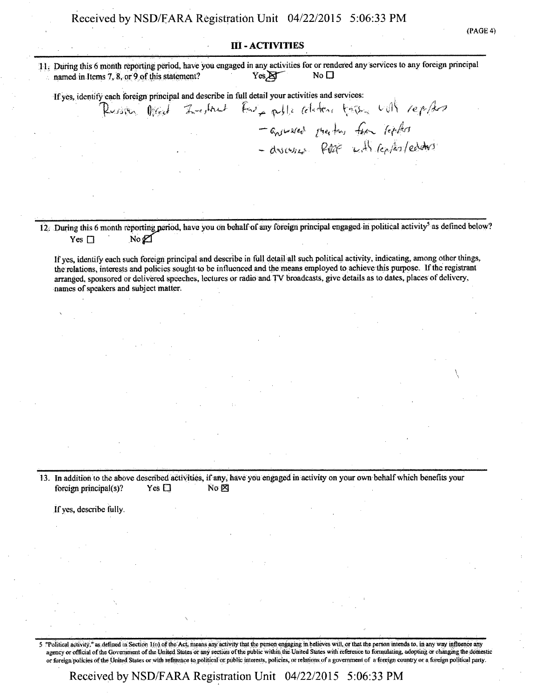#### **III - ACTIVITIES**

11. During this 6 month reporting period, have you engaged in any activities for or rendered any services to any foreign principal Yes &  $No<sub>D</sub>$ named in Items 7, 8, or 9 of this statement?

If yes, identify each foreign principal and describe in full detail your activities and services:

Russia Med Zerbach Far polle claim to see with replace - answered size for fear lepher - discussed PORE with replacements

12. During this 6 month reporting period, have you on behalf of any foreign principal engaged in political activity<sup>5</sup> as defined below?  $No &$ Yes  $\Box$ 

If yes, identify each such foreign principal and describe in full detail all such political activity, indicating, among other things, the relations, interests and policies sought to be influenced and the means employed to achieve this purpose. If the registrant arranged, sponsored or delivered speeches, lectures or radio and TV broadcasts, give details as to dates, places of delivery, names of speakers and subject matter.

13. In addition to the above described activities, if any, have you engaged in activity on your own behalf which benefits your foreign principal(s)? Yes  $\square$ No **X** 

If yes, describe fully.

"Political activity," as defined in Section 1(a) of the Act, means any activity that the person engaging in believes will, or that the person intends to, in any way influence any 5 agency or official of the Government of the United States or any section of the public within the United States with reference to formulating, adopting or changing the domestic or foreign policies of the United States or with reference to political or public interests, policies, or relations of a government of a foreign country or a foreign political party.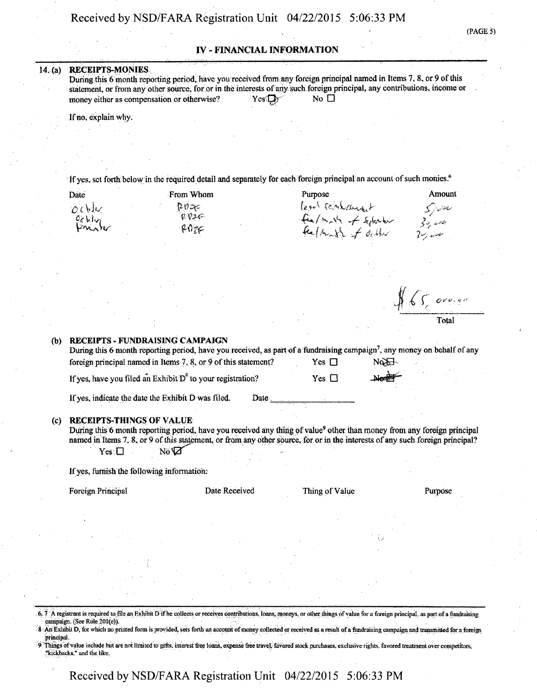#### IV - FINANCIAL INFORMATION

#### 14. (a) RECEIPTS-MONIES

During this 6 month reporting period, have you received from any foreign principal named in Items 7, 8, or 9 of this statement, or from any other source, for or in the interests of any such foreign principal, any contributions, income or money either as compensation or otherwise? Yes $\square$ money either as compensation or otherwise?

If no, explain why.

If yes, set forth below in the required detail and separately for each foreign principal an account of such monies.<sup>6</sup>

| Date  |  |  |
|-------|--|--|
| O(b)x |  |  |
| Celly |  |  |
|       |  |  |

 $P\eta =$  $\rho \rho$ 2 $\sigma$  $607C$ 

Prom Whom Purpose Fernt relationship<br>• Fee/math of Ephaton 30,000<br>• Fee/hough of debbar 30,000

 $65$ , order

Amount

Total

(PAGES)

#### (b) RECEIPTS - FUNDRAISING CAMPAIGN

During this 6 month reporting period, have you received, as part of a fundraising campaign<sup>7</sup>, any money on behalf of any foreign principal-named in Items 7, 8, or 9 of this statement? Yes  $\square$  No No If yes, have you filed an Exhibit  $D^8$  to your registration?  $Yes \Box$ 

If yes, indicate the date the Exhibit  $\overline{D}$  was filed. Date.

#### (c) RECEIPTS-THINGS'OF VALUE

During this 6 month reporting period, have you received any thing of value<sup>9</sup> other than money from any foreign principal named in Items 7, 8, or 9 of this statement, or from any other source, for or in the interests of any such foreign principal? *Yes:Q • m^T ••••••••••• •* 

If yes, furnish the following information:

Foreign Principal **Foreign Purpose** Date Received Thing of Value- Purpose

 $6, 7$ . A registrant is required to file an Exhibit D if he collects or receives contributions. Ioans, moneys, or other things of value for a foreign principal, as part of a fundraising catnpaign. (SeeRule.iOtCe)). '

8: An Exhibit D, for which no printed form is provided, sets forth an account of money collected or re principal.

9 Things of value include but are not limited to gifts, interest free loans, expanse free travel; favored stock purchases, exclusive rights, favored treatment over competitors, "kickbacks," and the like.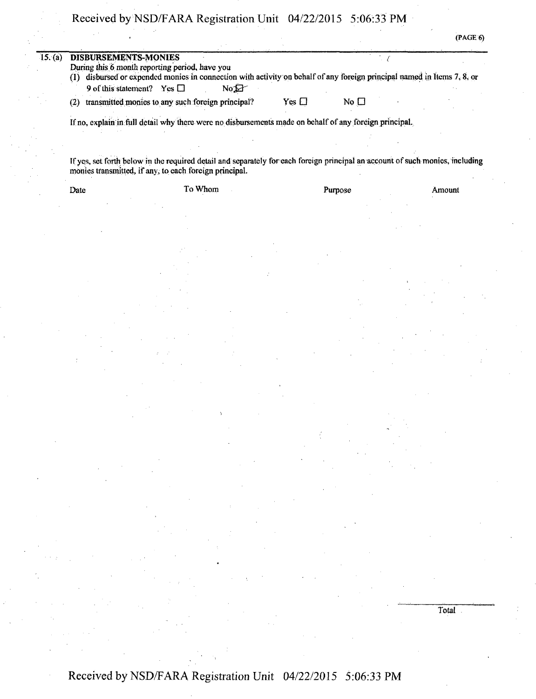Received by NSD/FARA Registration Unit 04/22/2015 5:06:33PM

 $\cdot$  (PAGE 6)

| (1) disbursed or expended monics in connection with activity on behalf of any foreign principal named in Items 7, 8, or<br>9 of this statement? Yes $\Box$<br>$\mathbb{N}^1$ |            |                 |  |
|------------------------------------------------------------------------------------------------------------------------------------------------------------------------------|------------|-----------------|--|
| (2) transmitted monies to any such foreign principal?                                                                                                                        | Yes $\Box$ | No <sub>1</sub> |  |

If yes, set forth below in the required detail and separately for each foreign principal an account of such monies, including monies transmitted, if any, to each foreign principal.

Date To Whom To Whom Purpose Amount

Received by NSD/FARA Registration Unit 04/22/2015 5:06:33 PM

Total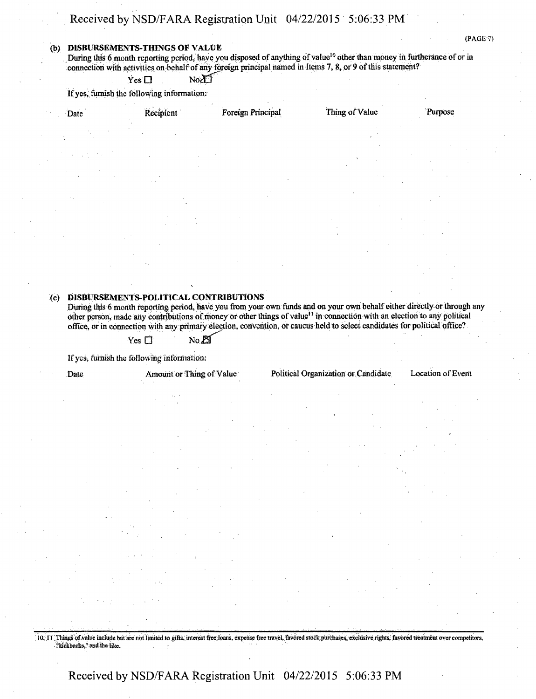### Received by NSD/FARA Registration Unit 04/22/2015 5:06:33 PM

#### (b) DISBURSEMENTS-THINGS OF VALUE

During this 6 month reporting period, have you disposed of anything of value<sup>10</sup> other than money in furtherance of or in connection with activities on behalf of any foreign principal named in Items 7, 8, or 9 of this statement?

 $Yes \Box$   $No \Box$ 

If yes, furnish the following information;

| Date | Recipient                             | Foreign Principal | Thing of Value | Purpose |
|------|---------------------------------------|-------------------|----------------|---------|
|      |                                       |                   |                |         |
|      |                                       |                   |                |         |
|      |                                       |                   |                |         |
|      |                                       |                   |                |         |
|      |                                       |                   |                |         |
| (c)  | DISBURSEMENTS-POLITICAL CONTRIBUTIONS |                   |                |         |

During this 6 month reporting period, have you from your own funds and on your own behalf either directly or through any other person, made any contributions of money or other things of value<sup>11</sup> in connection with an election to any political office, or in connection with any primary election, convention, or caucus held to select candidates for political office?

 $Yes \Box$  No. $E\Box$ 

If yes, furnish the following information:

Date Amount or Thing of Value Political Organization or Candidate Location of Event

(PAGE 7)

10, 11 Things of value include but are not limited to gifts, interest free Ioans, expense free travel, favored stock purchases, exclusive rights, favored treatment over competitors, "Rickbacks," and the like.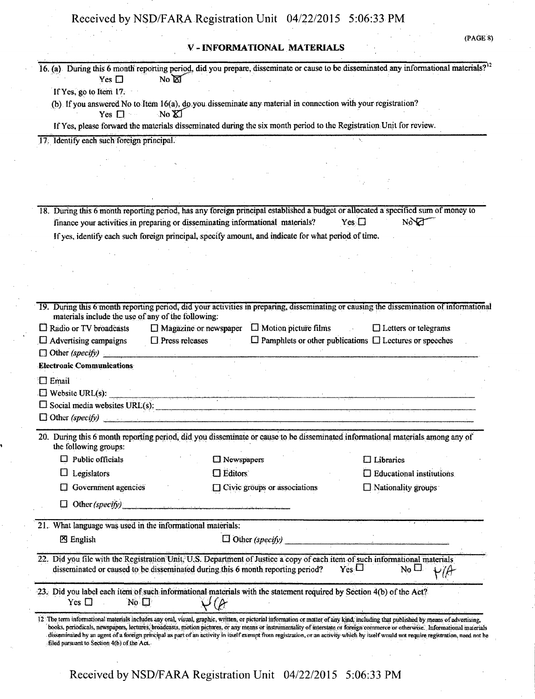### V - INFORMATIONAL MATERIALS

| (PAGE 8) |  |
|----------|--|
|          |  |
|          |  |
|          |  |
|          |  |
|          |  |

| 16. (a) During this 6 month reporting period, did you prepare, disseminate or cause to be disseminated any informational materials? <sup>12</sup><br>Yes $\Box$                                                                  | No <b>M</b>                                                                                                                                                                                                                                                                                                                                                             |                                     |                                                                    |                                  |
|----------------------------------------------------------------------------------------------------------------------------------------------------------------------------------------------------------------------------------|-------------------------------------------------------------------------------------------------------------------------------------------------------------------------------------------------------------------------------------------------------------------------------------------------------------------------------------------------------------------------|-------------------------------------|--------------------------------------------------------------------|----------------------------------|
| If Yes, go to Item 17.                                                                                                                                                                                                           |                                                                                                                                                                                                                                                                                                                                                                         |                                     |                                                                    |                                  |
|                                                                                                                                                                                                                                  | (b) If you answered No to Item 16(a), do you disseminate any material in connection with your registration?                                                                                                                                                                                                                                                             |                                     |                                                                    |                                  |
| Yes $\Box$                                                                                                                                                                                                                       | No XI                                                                                                                                                                                                                                                                                                                                                                   |                                     |                                                                    |                                  |
|                                                                                                                                                                                                                                  | If Yes, please forward the materials disseminated during the six month period to the Registration Unit for review.                                                                                                                                                                                                                                                      |                                     |                                                                    |                                  |
| 17. Identify each such foreign principal.                                                                                                                                                                                        |                                                                                                                                                                                                                                                                                                                                                                         |                                     |                                                                    |                                  |
|                                                                                                                                                                                                                                  |                                                                                                                                                                                                                                                                                                                                                                         |                                     |                                                                    |                                  |
|                                                                                                                                                                                                                                  |                                                                                                                                                                                                                                                                                                                                                                         |                                     |                                                                    |                                  |
|                                                                                                                                                                                                                                  |                                                                                                                                                                                                                                                                                                                                                                         |                                     |                                                                    |                                  |
|                                                                                                                                                                                                                                  |                                                                                                                                                                                                                                                                                                                                                                         |                                     |                                                                    |                                  |
| 18. During this 6 month reporting period, has any foreign principal established a budget or allocated a specified sum of money to                                                                                                |                                                                                                                                                                                                                                                                                                                                                                         |                                     |                                                                    |                                  |
|                                                                                                                                                                                                                                  | finance your activities in preparing or disseminating informational materials?                                                                                                                                                                                                                                                                                          |                                     | $Yes \Box$                                                         | NOT                              |
|                                                                                                                                                                                                                                  | If yes, identify each such foreign principal, specify amount, and indicate for what period of time.                                                                                                                                                                                                                                                                     |                                     |                                                                    |                                  |
|                                                                                                                                                                                                                                  |                                                                                                                                                                                                                                                                                                                                                                         |                                     |                                                                    |                                  |
|                                                                                                                                                                                                                                  |                                                                                                                                                                                                                                                                                                                                                                         |                                     |                                                                    |                                  |
|                                                                                                                                                                                                                                  |                                                                                                                                                                                                                                                                                                                                                                         |                                     |                                                                    |                                  |
|                                                                                                                                                                                                                                  |                                                                                                                                                                                                                                                                                                                                                                         |                                     |                                                                    |                                  |
| 19. During this 6 month reporting period, did your activities in preparing, disseminating or causing the dissemination of informational<br>materials include the use of any of the following:                                    |                                                                                                                                                                                                                                                                                                                                                                         |                                     |                                                                    |                                  |
| $\Box$ Radio or TV broadcasts                                                                                                                                                                                                    | $\Box$ Magazine or newspaper                                                                                                                                                                                                                                                                                                                                            | $\Box$ Motion picture films         |                                                                    | $\Box$ Letters or telegrams      |
| $\Box$ Advertising campaigns                                                                                                                                                                                                     | $\Box$ Press releases                                                                                                                                                                                                                                                                                                                                                   |                                     | $\Box$ Pamphlets or other publications $\Box$ Lectures or speeches |                                  |
|                                                                                                                                                                                                                                  |                                                                                                                                                                                                                                                                                                                                                                         |                                     |                                                                    |                                  |
| <b>Electronic Communications</b>                                                                                                                                                                                                 |                                                                                                                                                                                                                                                                                                                                                                         |                                     |                                                                    |                                  |
| $\square$ Email                                                                                                                                                                                                                  |                                                                                                                                                                                                                                                                                                                                                                         |                                     |                                                                    |                                  |
| $\Box$ Website URL(s):                                                                                                                                                                                                           |                                                                                                                                                                                                                                                                                                                                                                         |                                     |                                                                    |                                  |
| $\Box$ Social media websites URL(s):                                                                                                                                                                                             |                                                                                                                                                                                                                                                                                                                                                                         |                                     |                                                                    |                                  |
| $\Box$ Other (specify)                                                                                                                                                                                                           |                                                                                                                                                                                                                                                                                                                                                                         |                                     |                                                                    |                                  |
| 20. During this 6 month reporting period, did you disseminate or cause to be disseminated informational materials among any of<br>the following groups:                                                                          |                                                                                                                                                                                                                                                                                                                                                                         |                                     |                                                                    |                                  |
| $\Box$ Public officials                                                                                                                                                                                                          | □ Newspapers                                                                                                                                                                                                                                                                                                                                                            |                                     | $\Box$ Libraries                                                   |                                  |
| Legislators                                                                                                                                                                                                                      | $\square$ Editors                                                                                                                                                                                                                                                                                                                                                       |                                     |                                                                    | $\Box$ Educational institutions. |
| Government agencies                                                                                                                                                                                                              |                                                                                                                                                                                                                                                                                                                                                                         | $\Box$ Civic groups or associations | $\Box$ Nationality groups                                          |                                  |
| Other (specify)                                                                                                                                                                                                                  |                                                                                                                                                                                                                                                                                                                                                                         |                                     |                                                                    |                                  |
| 21. What language was used in the informational materials:                                                                                                                                                                       |                                                                                                                                                                                                                                                                                                                                                                         |                                     |                                                                    |                                  |
| <b>8</b> English                                                                                                                                                                                                                 |                                                                                                                                                                                                                                                                                                                                                                         | $\Box$ Other (specify)              |                                                                    |                                  |
|                                                                                                                                                                                                                                  |                                                                                                                                                                                                                                                                                                                                                                         |                                     |                                                                    |                                  |
| 22. Did you file with the Registration Unit, U.S. Department of Justice a copy of each item of such informational materials                                                                                                      | disseminated or caused to be disseminated during this 6 month reporting period?                                                                                                                                                                                                                                                                                         |                                     | $Y_{es}$                                                           | $N_0$ $\square$<br>H/H           |
| 23. Did you label each item of such informational materials with the statement required by Section 4(b) of the Act?                                                                                                              |                                                                                                                                                                                                                                                                                                                                                                         |                                     |                                                                    |                                  |
| Yes $\square$<br>No $\square$                                                                                                                                                                                                    | (                                                                                                                                                                                                                                                                                                                                                                       |                                     |                                                                    |                                  |
| 12 The term informational materials includes any oral, visual, graphic, written, or pictorial information or matter of any kind, including that published by means of advertising,<br>filed pursuant to Section 4(b) of the Act. | books, periodicals, newspapers, lectures, broadcasts, motion pictures, or any means or instrumentality of interstate or foreign commerce or otherwise. Informational materials<br>disseminated by an agent of a foreign principal as part of an activity in itself exempt from registration, or an activity which by itself would not require registration, need not he |                                     |                                                                    |                                  |
|                                                                                                                                                                                                                                  | Received by NSD/FARA Registration Unit 04/22/2015 5:06:33 PM                                                                                                                                                                                                                                                                                                            |                                     |                                                                    |                                  |